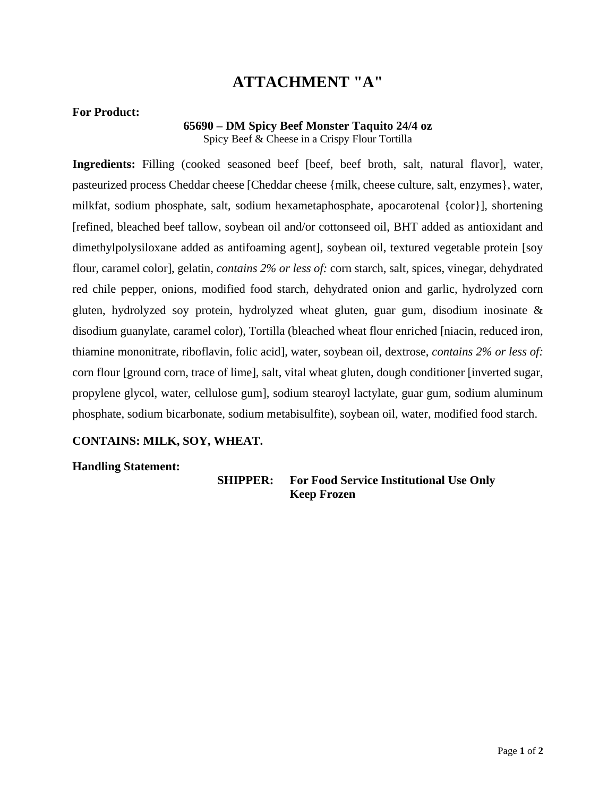### **For Product:**

#### **65690 – DM Spicy Beef Monster Taquito 24/4 oz** Spicy Beef & Cheese in a Crispy Flour Tortilla

Ingredients: Filling (cooked seasoned beef [beef, beef broth, salt, natural flavor], water, pasteurized process Cheddar cheese [Cheddar cheese {milk, cheese culture, salt, enzymes}, water, milkfat, sodium phosphate, salt, sodium hexametaphosphate, apocarotenal {color}], shortening [refined, bleached beef tallow, soybean oil and/or cottonseed oil, BHT added as antioxidant and dimethylpolysiloxane added as antifoaming agent], soybean oil, textured vegetable protein [soy flour, caramel color], gelatin, *contains 2% or less of:* corn starch, salt, spices, vinegar, dehydrated red chile pepper, onions, modified food starch, dehydrated onion and garlic, hydrolyzed corn gluten, hydrolyzed soy protein, hydrolyzed wheat gluten, guar gum, disodium inosinate & disodium guanylate, caramel color), Tortilla (bleached wheat flour enriched [niacin, reduced iron, thiamine mononitrate, riboflavin, folic acid], water, soybean oil, dextrose, *contains 2% or less of:* corn flour [ground corn, trace of lime], salt, vital wheat gluten, dough conditioner [inverted sugar, propylene glycol, water, cellulose gum], sodium stearoyl lactylate, guar gum, sodium aluminum phosphate, sodium bicarbonate, sodium metabisulfite), soybean oil, water, modified food starch.

### **CONTAINS: MILK, SOY, WHEAT.**

#### **Handling Statement:**

**SHIPPER: For Food Service Institutional Use Only Keep Frozen**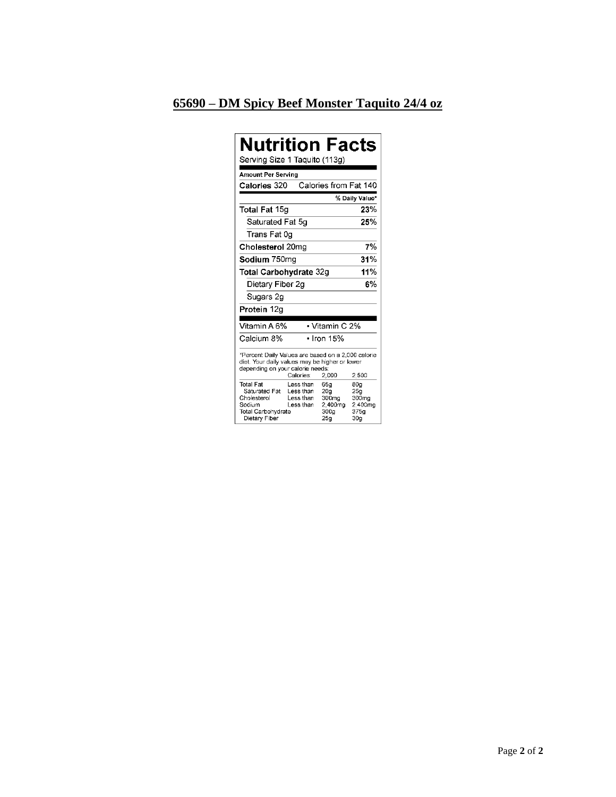### 65690 - DM Spicy Beef Monster Taquito 24/4 oz

| Nutrition Facts<br>Serving Size 1 Taquito (113g)                                                                                                                        |                                                  |                                               |                                                                                   |
|-------------------------------------------------------------------------------------------------------------------------------------------------------------------------|--------------------------------------------------|-----------------------------------------------|-----------------------------------------------------------------------------------|
| Amount Per Serving                                                                                                                                                      |                                                  |                                               |                                                                                   |
| Calories 320                                                                                                                                                            |                                                  | Calories from Fat 140                         |                                                                                   |
|                                                                                                                                                                         |                                                  |                                               | % Daily Value*                                                                    |
| Total Fat 15g                                                                                                                                                           |                                                  |                                               | 23%                                                                               |
| Saturated Fat 5g                                                                                                                                                        |                                                  |                                               | 25%                                                                               |
| Trans Fat 0g                                                                                                                                                            |                                                  |                                               |                                                                                   |
| Cholesterol 20mg                                                                                                                                                        |                                                  |                                               | 7%                                                                                |
| Sodium 750mg                                                                                                                                                            |                                                  | 31%                                           |                                                                                   |
| Total Carbohydrate 32g                                                                                                                                                  |                                                  |                                               | 11%                                                                               |
| Dietary Fiber 2g                                                                                                                                                        |                                                  |                                               | 6%                                                                                |
| Sugars 2g                                                                                                                                                               |                                                  |                                               |                                                                                   |
| Protein 12g                                                                                                                                                             |                                                  |                                               |                                                                                   |
|                                                                                                                                                                         |                                                  |                                               |                                                                                   |
| Vitamin A 6%                                                                                                                                                            |                                                  | • Vitamin C 2%                                |                                                                                   |
| Calcium 8%                                                                                                                                                              |                                                  | • Iron 15%                                    |                                                                                   |
| *Percent Daily Values are based on a 2,000 calorie<br>diet. Your daily values may be higher or lower<br>depending on your calorie needs:<br>Calories:<br>2,000<br>2.500 |                                                  |                                               |                                                                                   |
| Total Fat<br>Saturated Fat<br>Cholesterol<br>Sodium<br>Total Carbohydrate<br>Dietary Fiber                                                                              | Less than<br>Less than<br>Less than<br>Less than | 65g<br>20g<br>300mg<br>2,400mg<br>300g<br>25g | 80g<br>25 <sub>g</sub><br>300mg<br>2.400mg<br>375 <sub>q</sub><br>30 <sub>q</sub> |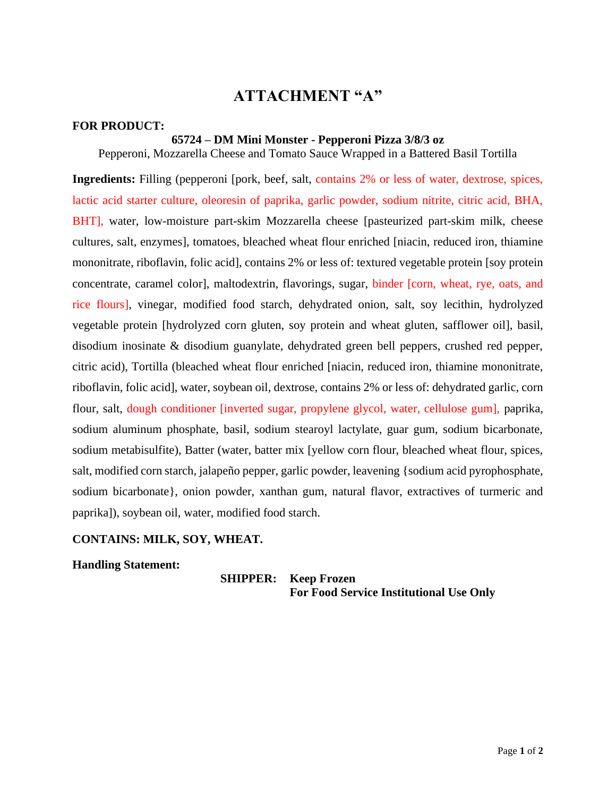#### **FOR PRODUCT:**

### **65724 – DM Mini Monster - Pepperoni Pizza 3/8/3 oz**

Pepperoni, Mozzarella Cheese and Tomato Sauce Wrapped in a Battered Basil Tortilla

**Ingredients:** Filling (pepperoni [pork, beef, salt, contains 2% or less of water, dextrose, spices, lactic acid starter culture, oleoresin of paprika, garlic powder, sodium nitrite, citric acid, BHA, BHT], water, low-moisture part-skim Mozzarella cheese [pasteurized part-skim milk, cheese cultures, salt, enzymes], tomatoes, bleached wheat flour enriched [niacin, reduced iron, thiamine mononitrate, riboflavin, folic acid], contains 2% or less of: textured vegetable protein [soy protein concentrate, caramel color], maltodextrin, flavorings, sugar, binder [corn, wheat, rye, oats, and rice flours], vinegar, modified food starch, dehydrated onion, salt, soy lecithin, hydrolyzed vegetable protein [hydrolyzed corn gluten, soy protein and wheat gluten, safflower oil], basil, disodium inosinate & disodium guanylate, dehydrated green bell peppers, crushed red pepper, citric acid), Tortilla (bleached wheat flour enriched [niacin, reduced iron, thiamine mononitrate, riboflavin, folic acid], water, soybean oil, dextrose, contains 2% or less of: dehydrated garlic, corn flour, salt, dough conditioner [inverted sugar, propylene glycol, water, cellulose gum], paprika, sodium aluminum phosphate, basil, sodium stearoyl lactylate, guar gum, sodium bicarbonate, sodium metabisulfite), Batter (water, batter mix [yellow corn flour, bleached wheat flour, spices, salt, modified corn starch, jalapeño pepper, garlic powder, leavening {sodium acid pyrophosphate, sodium bicarbonate}, onion powder, xanthan gum, natural flavor, extractives of turmeric and paprika]), soybean oil, water, modified food starch.

### **CONTAINS: MILK, SOY, WHEAT.**

**Handling Statement:**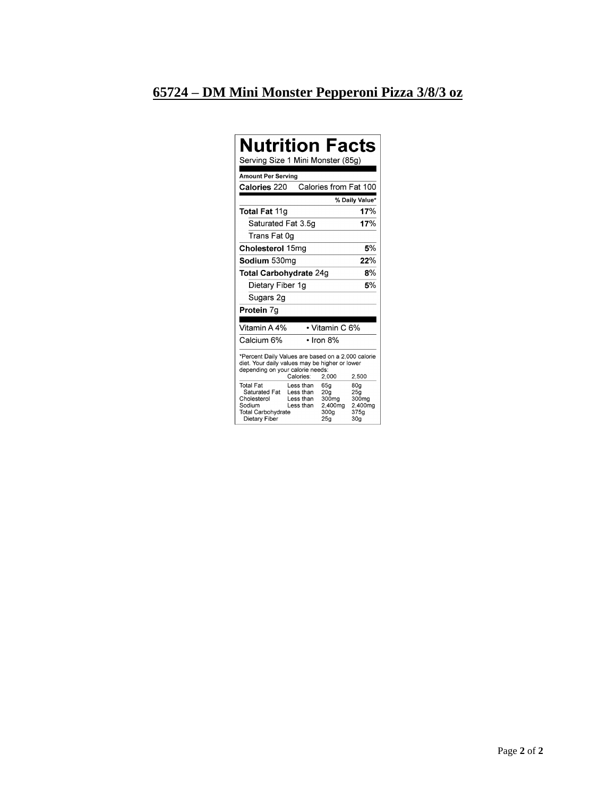# <u>65724 – DM Mini Monster Pepperoni Pizza 3/8/3 oz</u>

| Nutrition Facts<br>Serving Size 1 Mini Monster (85g)                                                                                                                    |                                                  |                                                                       |                                                                       |  |
|-------------------------------------------------------------------------------------------------------------------------------------------------------------------------|--------------------------------------------------|-----------------------------------------------------------------------|-----------------------------------------------------------------------|--|
| Amount Per Serving                                                                                                                                                      |                                                  |                                                                       |                                                                       |  |
| Calories 220                                                                                                                                                            |                                                  | Calories from Fat 100                                                 |                                                                       |  |
|                                                                                                                                                                         |                                                  |                                                                       | % Daily Value*                                                        |  |
| Total Fat 11q                                                                                                                                                           |                                                  |                                                                       | 17%                                                                   |  |
| Saturated Fat 3.5g                                                                                                                                                      |                                                  |                                                                       | 17%                                                                   |  |
| Trans Fat 0q                                                                                                                                                            |                                                  |                                                                       |                                                                       |  |
| Cholesterol 15mg                                                                                                                                                        |                                                  | 5%                                                                    |                                                                       |  |
| Sodium 530ma                                                                                                                                                            |                                                  |                                                                       | 22%                                                                   |  |
| Total Carbohydrate 24g                                                                                                                                                  |                                                  |                                                                       | 8%                                                                    |  |
| Dietary Fiber 1g                                                                                                                                                        |                                                  | 5%                                                                    |                                                                       |  |
| Sugars 2g                                                                                                                                                               |                                                  |                                                                       |                                                                       |  |
| Protein 7g                                                                                                                                                              |                                                  |                                                                       |                                                                       |  |
|                                                                                                                                                                         |                                                  |                                                                       |                                                                       |  |
| Vitamin A 4%                                                                                                                                                            |                                                  | • Vitamin C 6%                                                        |                                                                       |  |
| Calcium 6%                                                                                                                                                              |                                                  | $\cdot$ Iron 8%                                                       |                                                                       |  |
| *Percent Daily Values are based on a 2,000 calorie<br>diet. Your daily values may be higher or lower<br>depending on your calorie needs:<br>Calories:<br>2,000<br>2.500 |                                                  |                                                                       |                                                                       |  |
| Total Fat<br>Saturated Fat<br>Cholesterol<br>Sodium<br><b>Total Carbohydrate</b><br>Dietary Fiber                                                                       | Less than<br>Less than<br>Less than<br>Less than | 65a<br>20 <sub>g</sub><br>300 <sub>mg</sub><br>2,400mg<br>300g<br>25a | 80 <sub>q</sub><br>25g<br>300mg<br>2.400mg<br>375g<br>30 <sub>g</sub> |  |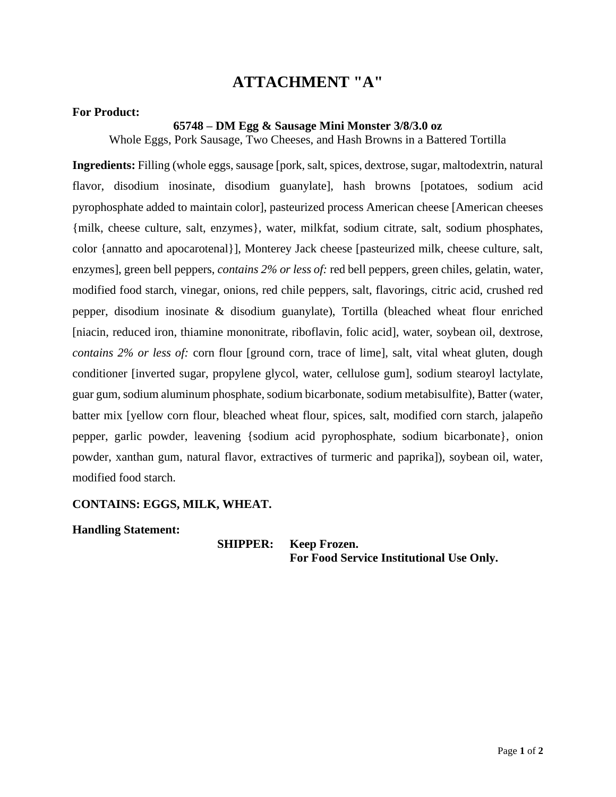### **For Product:**

#### **65748 – DM Egg & Sausage Mini Monster 3/8/3.0 oz**

Whole Eggs, Pork Sausage, Two Cheeses, and Hash Browns in a Battered Tortilla

**Ingredients:** Filling (whole eggs, sausage [pork, salt, spices, dextrose, sugar, maltodextrin, natural flavor, disodium inosinate, disodium guanylate], hash browns [potatoes, sodium acid pyrophosphate added to maintain color], pasteurized process American cheese [American cheeses {milk, cheese culture, salt, enzymes}, water, milkfat, sodium citrate, salt, sodium phosphates, color {annatto and apocarotenal}], Monterey Jack cheese [pasteurized milk, cheese culture, salt, enzymes], green bell peppers, *contains 2% or less of:* red bell peppers, green chiles, gelatin, water, modified food starch, vinegar, onions, red chile peppers, salt, flavorings, citric acid, crushed red pepper, disodium inosinate & disodium guanylate), Tortilla (bleached wheat flour enriched [niacin, reduced iron, thiamine mononitrate, riboflavin, folic acid], water, soybean oil, dextrose, *contains 2% or less of:* corn flour [ground corn, trace of lime], salt, vital wheat gluten, dough conditioner [inverted sugar, propylene glycol, water, cellulose gum], sodium stearoyl lactylate, guar gum, sodium aluminum phosphate, sodium bicarbonate, sodium metabisulfite), Batter (water, batter mix [yellow corn flour, bleached wheat flour, spices, salt, modified corn starch, jalapeño pepper, garlic powder, leavening {sodium acid pyrophosphate, sodium bicarbonate}, onion powder, xanthan gum, natural flavor, extractives of turmeric and paprika]), soybean oil, water, modified food starch.

### **CONTAINS: EGGS, MILK, WHEAT.**

**Handling Statement:**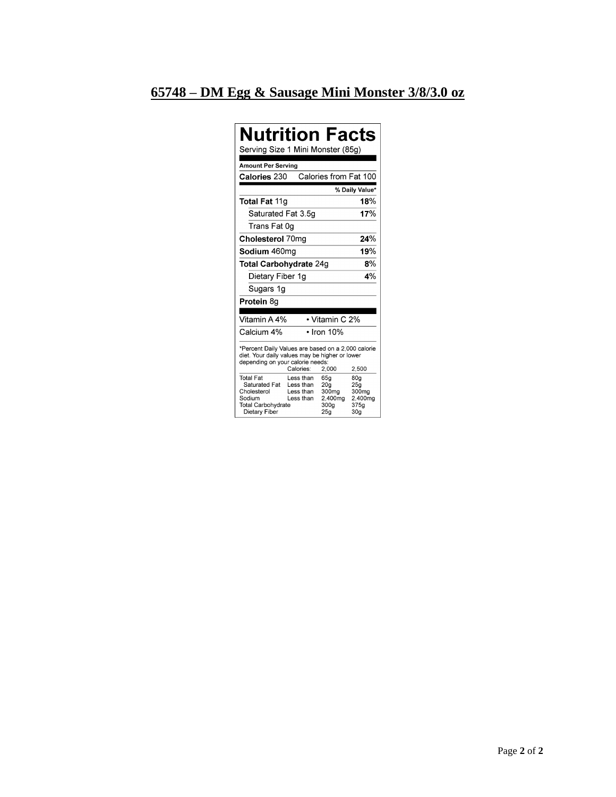# **65748 – DM Egg & Sausage Mini Monster 3/8/3.0 oz**

| <b>Nutrition Facts</b><br>Serving Size 1 Mini Monster (85g)                                                                                                             |                                                  |                                                                                   |                                                                       |  |
|-------------------------------------------------------------------------------------------------------------------------------------------------------------------------|--------------------------------------------------|-----------------------------------------------------------------------------------|-----------------------------------------------------------------------|--|
| <b>Amount Per Serving</b>                                                                                                                                               |                                                  |                                                                                   |                                                                       |  |
| Calories 230                                                                                                                                                            |                                                  | Calories from Fat 100                                                             |                                                                       |  |
|                                                                                                                                                                         |                                                  |                                                                                   | % Daily Value*                                                        |  |
| <b>Total Fat 11g</b>                                                                                                                                                    |                                                  |                                                                                   | 18%                                                                   |  |
| Saturated Fat 3.5g                                                                                                                                                      |                                                  |                                                                                   | 17%                                                                   |  |
| Trans Fat 0g                                                                                                                                                            |                                                  |                                                                                   |                                                                       |  |
| Cholesterol 70mg                                                                                                                                                        |                                                  |                                                                                   | 24%                                                                   |  |
| Sodium 460mg                                                                                                                                                            |                                                  |                                                                                   | 19%                                                                   |  |
| 8%<br>Total Carbohydrate 24g                                                                                                                                            |                                                  |                                                                                   |                                                                       |  |
| Dietary Fiber 1g                                                                                                                                                        |                                                  | $4\%$                                                                             |                                                                       |  |
| Sugars 1g                                                                                                                                                               |                                                  |                                                                                   |                                                                       |  |
| Protein 8g                                                                                                                                                              |                                                  |                                                                                   |                                                                       |  |
|                                                                                                                                                                         |                                                  |                                                                                   |                                                                       |  |
| Vitamin A 4%                                                                                                                                                            |                                                  | • Vitamin C 2%                                                                    |                                                                       |  |
| Calcium 4%                                                                                                                                                              |                                                  | $\cdot$ Iron 10%                                                                  |                                                                       |  |
| *Percent Daily Values are based on a 2,000 calorie<br>diet. Your daily values may be higher or lower<br>depending on your calorie needs:<br>Calories:<br>2,000<br>2,500 |                                                  |                                                                                   |                                                                       |  |
| <b>Total Fat</b><br>Saturated Fat<br>Cholesterol<br>Sodium<br><b>Total Carbohydrate</b><br>Dietary Fiber                                                                | Less than<br>Less than<br>Less than<br>Less than | 65g<br>20 <sub>q</sub><br>300 <sub>mg</sub><br>2,400mg<br>300 <sub>g</sub><br>25g | 80 <sub>q</sub><br>25q<br>300mg<br>2.400mg<br>375g<br>30 <sub>g</sub> |  |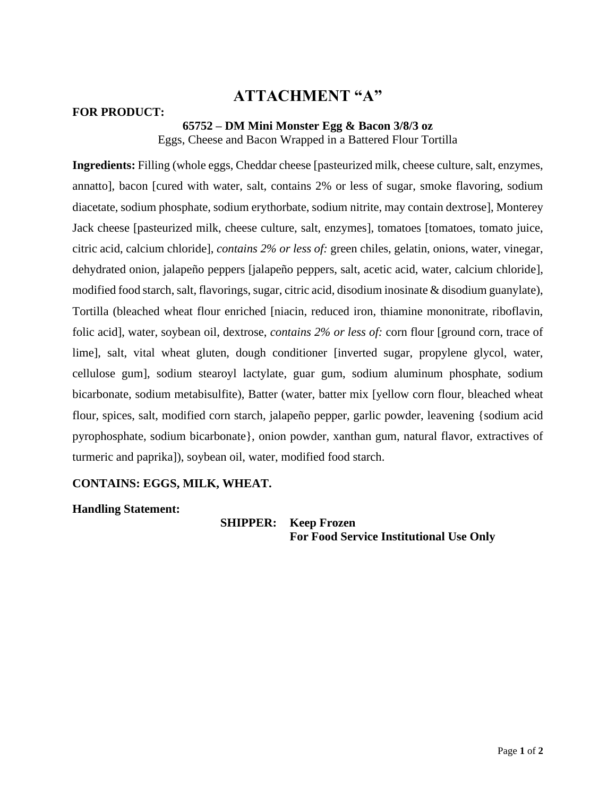### **FOR PRODUCT:**

### **65752 – DM Mini Monster Egg & Bacon 3/8/3 oz**

Eggs, Cheese and Bacon Wrapped in a Battered Flour Tortilla

**Ingredients:** Filling (whole eggs, Cheddar cheese [pasteurized milk, cheese culture, salt, enzymes, annatto], bacon [cured with water, salt, contains 2% or less of sugar, smoke flavoring, sodium diacetate, sodium phosphate, sodium erythorbate, sodium nitrite, may contain dextrose], Monterey Jack cheese [pasteurized milk, cheese culture, salt, enzymes], tomatoes [tomatoes, tomato juice, citric acid, calcium chloride], *contains 2% or less of:* green chiles, gelatin, onions, water, vinegar, dehydrated onion, jalapeño peppers [jalapeño peppers, salt, acetic acid, water, calcium chloride], modified food starch, salt, flavorings, sugar, citric acid, disodium inosinate & disodium guanylate), Tortilla (bleached wheat flour enriched [niacin, reduced iron, thiamine mononitrate, riboflavin, folic acid], water, soybean oil, dextrose, *contains 2% or less of:* corn flour [ground corn, trace of lime], salt, vital wheat gluten, dough conditioner [inverted sugar, propylene glycol, water, cellulose gum], sodium stearoyl lactylate, guar gum, sodium aluminum phosphate, sodium bicarbonate, sodium metabisulfite), Batter (water, batter mix [yellow corn flour, bleached wheat flour, spices, salt, modified corn starch, jalapeño pepper, garlic powder, leavening {sodium acid pyrophosphate, sodium bicarbonate}, onion powder, xanthan gum, natural flavor, extractives of turmeric and paprika]), soybean oil, water, modified food starch.

### **CONTAINS: EGGS, MILK, WHEAT.**

**Handling Statement:**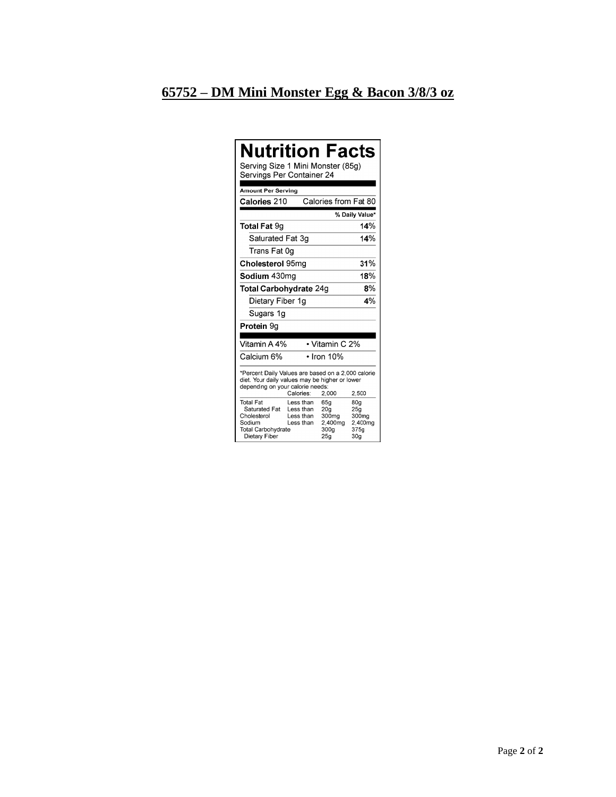# 65752 – DM Mini Monster Egg & Bacon 3/8/3 oz

| <b>Nutrition Facts</b><br>Serving Size 1 Mini Monster (85g)<br>Servings Per Container 24                                                                                |                                                  |                                                                       |                                                                       |  |
|-------------------------------------------------------------------------------------------------------------------------------------------------------------------------|--------------------------------------------------|-----------------------------------------------------------------------|-----------------------------------------------------------------------|--|
| Amount Per Serving                                                                                                                                                      |                                                  |                                                                       |                                                                       |  |
| Calories 210                                                                                                                                                            |                                                  | Calories from Fat 80                                                  |                                                                       |  |
|                                                                                                                                                                         |                                                  |                                                                       | % Daily Value*                                                        |  |
| <b>Total Fat 9g</b>                                                                                                                                                     |                                                  |                                                                       | 14%                                                                   |  |
| Saturated Fat 3g                                                                                                                                                        |                                                  |                                                                       | 14%                                                                   |  |
| Trans Fat 0q                                                                                                                                                            |                                                  |                                                                       |                                                                       |  |
| Cholesterol 95mg                                                                                                                                                        |                                                  |                                                                       | 31%                                                                   |  |
| Sodium 430mg                                                                                                                                                            |                                                  |                                                                       | 18%                                                                   |  |
| 8%<br><b>Total Carbohydrate 24g</b>                                                                                                                                     |                                                  |                                                                       |                                                                       |  |
| Dietary Fiber 1g                                                                                                                                                        |                                                  |                                                                       | 4%                                                                    |  |
| Sugars 1g                                                                                                                                                               |                                                  |                                                                       |                                                                       |  |
| <b>Protein 9g</b>                                                                                                                                                       |                                                  |                                                                       |                                                                       |  |
| Vitamin A 4%                                                                                                                                                            |                                                  | • Vitamin C 2%                                                        |                                                                       |  |
| Calcium 6%                                                                                                                                                              |                                                  | $\cdot$ Iron 10%                                                      |                                                                       |  |
| *Percent Daily Values are based on a 2,000 calorie<br>diet. Your daily values may be higher or lower<br>depending on your calorie needs:<br>Calories:<br>2,500<br>2,000 |                                                  |                                                                       |                                                                       |  |
| <b>Total Fat</b><br>Saturated Fat<br>Cholesterol<br>Sodium<br><b>Total Carbohydrate</b><br>Dietary Fiber                                                                | Less than<br>Less than<br>Less than<br>Less than | 65q<br>20 <sub>q</sub><br>300 <sub>mg</sub><br>2,400mg<br>300a<br>25q | 80q<br>25g<br>300 <sub>mg</sub><br>2,400mg<br>375a<br>30 <sub>q</sub> |  |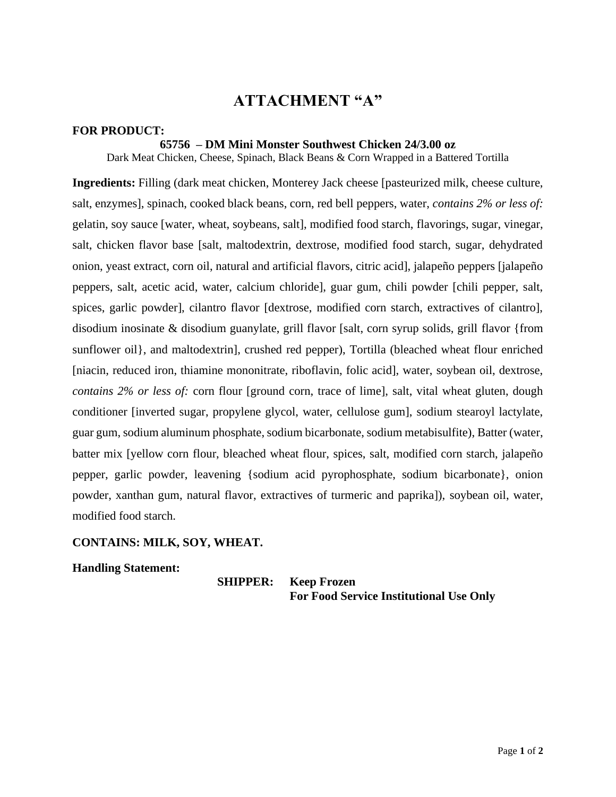#### **FOR PRODUCT:**

#### **65756 – DM Mini Monster Southwest Chicken 24/3.00 oz**

Dark Meat Chicken, Cheese, Spinach, Black Beans & Corn Wrapped in a Battered Tortilla

**Ingredients:** Filling (dark meat chicken, Monterey Jack cheese [pasteurized milk, cheese culture, salt, enzymes], spinach, cooked black beans, corn, red bell peppers, water, *contains 2% or less of:*  gelatin, soy sauce [water, wheat, soybeans, salt], modified food starch, flavorings, sugar, vinegar, salt, chicken flavor base [salt, maltodextrin, dextrose, modified food starch, sugar, dehydrated onion, yeast extract, corn oil, natural and artificial flavors, citric acid], jalapeño peppers [jalapeño peppers, salt, acetic acid, water, calcium chloride], guar gum, chili powder [chili pepper, salt, spices, garlic powder], cilantro flavor [dextrose, modified corn starch, extractives of cilantro], disodium inosinate & disodium guanylate, grill flavor [salt, corn syrup solids, grill flavor {from sunflower oil, and maltodextrin, crushed red pepper), Tortilla (bleached wheat flour enriched [niacin, reduced iron, thiamine mononitrate, riboflavin, folic acid], water, soybean oil, dextrose, *contains 2% or less of:* corn flour [ground corn, trace of lime], salt, vital wheat gluten, dough conditioner [inverted sugar, propylene glycol, water, cellulose gum], sodium stearoyl lactylate, guar gum, sodium aluminum phosphate, sodium bicarbonate, sodium metabisulfite), Batter (water, batter mix [yellow corn flour, bleached wheat flour, spices, salt, modified corn starch, jalapeño pepper, garlic powder, leavening {sodium acid pyrophosphate, sodium bicarbonate}, onion powder, xanthan gum, natural flavor, extractives of turmeric and paprika]), soybean oil, water, modified food starch.

### **CONTAINS: MILK, SOY, WHEAT.**

#### **Handling Statement:**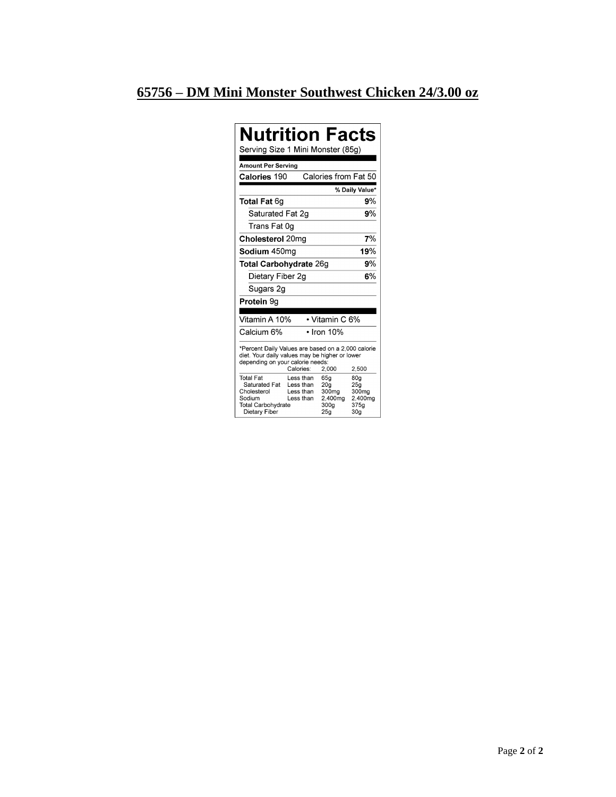# 65756 - DM Mini Monster Southwest Chicken 24/3.00 oz

| <b>Nutrition Facts</b><br>Serving Size 1 Mini Monster (85g)                                                                                                             |                                                  |                                                                                   |                                                           |  |
|-------------------------------------------------------------------------------------------------------------------------------------------------------------------------|--------------------------------------------------|-----------------------------------------------------------------------------------|-----------------------------------------------------------|--|
| <b>Amount Per Serving</b>                                                                                                                                               |                                                  |                                                                                   |                                                           |  |
| <b>Calories 190</b>                                                                                                                                                     |                                                  | Calories from Fat 50                                                              |                                                           |  |
|                                                                                                                                                                         |                                                  |                                                                                   | % Daily Value*                                            |  |
| <b>Total Fat 6g</b>                                                                                                                                                     |                                                  |                                                                                   | 9%                                                        |  |
| Saturated Fat 2g                                                                                                                                                        |                                                  |                                                                                   | 9%                                                        |  |
| Trans Fat 0g                                                                                                                                                            |                                                  |                                                                                   |                                                           |  |
| Cholesterol 20mg                                                                                                                                                        |                                                  |                                                                                   | 7%                                                        |  |
| Sodium 450ma                                                                                                                                                            |                                                  |                                                                                   | 19%                                                       |  |
| 9%<br>Total Carbohydrate 26g                                                                                                                                            |                                                  |                                                                                   |                                                           |  |
| Dietary Fiber 2g                                                                                                                                                        |                                                  |                                                                                   | 6%                                                        |  |
| Sugars 2g                                                                                                                                                               |                                                  |                                                                                   |                                                           |  |
| Protein 9g                                                                                                                                                              |                                                  |                                                                                   |                                                           |  |
|                                                                                                                                                                         |                                                  |                                                                                   |                                                           |  |
| Vitamin A 10%                                                                                                                                                           |                                                  | • Vitamin C 6%                                                                    |                                                           |  |
| Calcium 6%                                                                                                                                                              |                                                  | $\cdot$ Iron 10%                                                                  |                                                           |  |
| *Percent Daily Values are based on a 2,000 calorie<br>diet. Your daily values may be higher or lower<br>depending on your calorie needs:<br>Calories:<br>2,000<br>2,500 |                                                  |                                                                                   |                                                           |  |
| <b>Total Fat</b><br>Saturated Fat<br>Cholesterol<br>Sodium<br><b>Total Carbohydrate</b><br>Dietary Fiber                                                                | Less than<br>Less than<br>Less than<br>Less than | 65g<br>20 <sub>q</sub><br>300 <sub>mg</sub><br>2,400mg<br>300a<br>25 <sub>a</sub> | 80g<br>25q<br>300mg<br>2.400mg<br>375a<br>30 <sub>a</sub> |  |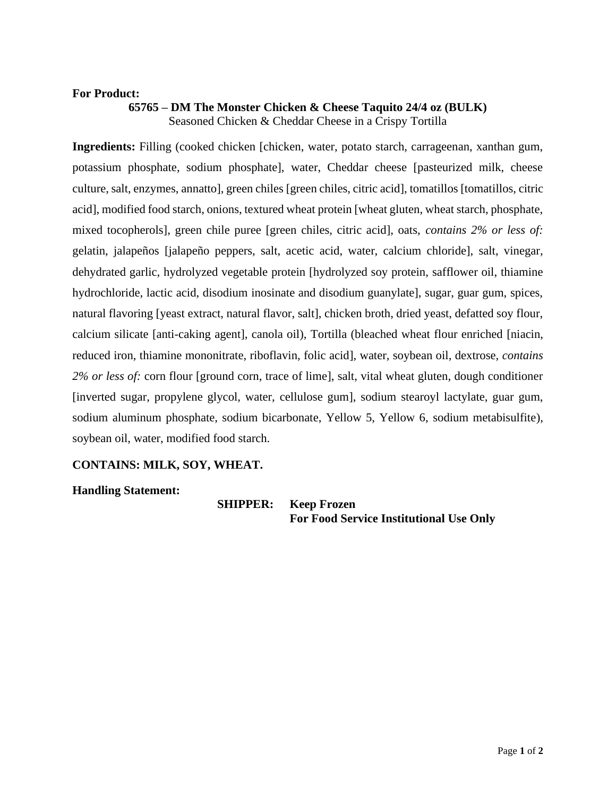### **For Product:**

### **65765 – DM The Monster Chicken & Cheese Taquito 24/4 oz (BULK)** Seasoned Chicken & Cheddar Cheese in a Crispy Tortilla

**Ingredients:** Filling (cooked chicken [chicken, water, potato starch, carrageenan, xanthan gum, potassium phosphate, sodium phosphate], water, Cheddar cheese [pasteurized milk, cheese culture, salt, enzymes, annatto], green chiles [green chiles, citric acid], tomatillos [tomatillos, citric acid], modified food starch, onions, textured wheat protein [wheat gluten, wheat starch, phosphate, mixed tocopherols], green chile puree [green chiles, citric acid], oats, *contains 2% or less of:*  gelatin, jalapeños [jalapeño peppers, salt, acetic acid, water, calcium chloride], salt, vinegar, dehydrated garlic, hydrolyzed vegetable protein [hydrolyzed soy protein, safflower oil, thiamine hydrochloride, lactic acid, disodium inosinate and disodium guanylate], sugar, guar gum, spices, natural flavoring [yeast extract, natural flavor, salt], chicken broth, dried yeast, defatted soy flour, calcium silicate [anti-caking agent], canola oil), Tortilla (bleached wheat flour enriched [niacin, reduced iron, thiamine mononitrate, riboflavin, folic acid], water, soybean oil, dextrose, *contains 2% or less of:* corn flour [ground corn, trace of lime], salt, vital wheat gluten, dough conditioner [inverted sugar, propylene glycol, water, cellulose gum], sodium stearoyl lactylate, guar gum, sodium aluminum phosphate, sodium bicarbonate, Yellow 5, Yellow 6, sodium metabisulfite), soybean oil, water, modified food starch.

### **CONTAINS: MILK, SOY, WHEAT.**

**Handling Statement:**